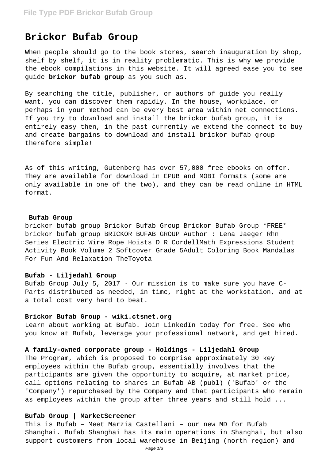# **Brickor Bufab Group**

When people should go to the book stores, search inauguration by shop, shelf by shelf, it is in reality problematic. This is why we provide the ebook compilations in this website. It will agreed ease you to see guide **brickor bufab group** as you such as.

By searching the title, publisher, or authors of guide you really want, you can discover them rapidly. In the house, workplace, or perhaps in your method can be every best area within net connections. If you try to download and install the brickor bufab group, it is entirely easy then, in the past currently we extend the connect to buy and create bargains to download and install brickor bufab group therefore simple!

As of this writing, Gutenberg has over 57,000 free ebooks on offer. They are available for download in EPUB and MOBI formats (some are only available in one of the two), and they can be read online in HTML format.

# **Bufab Group**

brickor bufab group Brickor Bufab Group Brickor Bufab Group \*FREE\* brickor bufab group BRICKOR BUFAB GROUP Author : Lena Jaeger Rhn Series Electric Wire Rope Hoists D R CordellMath Expressions Student Activity Book Volume 2 Softcover Grade 5Adult Coloring Book Mandalas For Fun And Relaxation TheToyota

#### **Bufab - Liljedahl Group**

Bufab Group July 5, 2017  $\cdot$  Our mission is to make sure you have C-Parts distributed as needed, in time, right at the workstation, and at a total cost very hard to beat.

## **Brickor Bufab Group - wiki.ctsnet.org**

Learn about working at Bufab. Join LinkedIn today for free. See who you know at Bufab, leverage your professional network, and get hired.

# **A family-owned corporate group - Holdings - Liljedahl Group**

The Program, which is proposed to comprise approximately 30 key employees within the Bufab group, essentially involves that the participants are given the opportunity to acquire, at market price, call options relating to shares in Bufab AB (publ) ('Bufab' or the 'Company') repurchased by the Company and that participants who remain as employees within the group after three years and still hold ...

## **Bufab Group | MarketScreener**

This is Bufab – Meet Marzia Castellani – our new MD for Bufab Shanghai. Bufab Shanghai has its main operations in Shanghai, but also support customers from local warehouse in Beijing (north region) and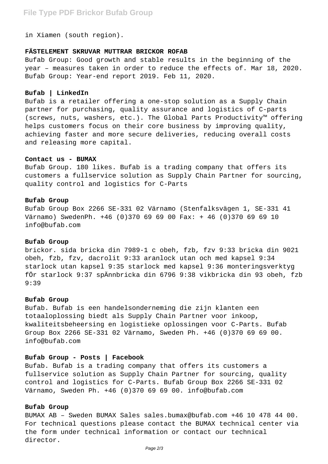in Xiamen (south region).

# **FÄSTELEMENT SKRUVAR MUTTRAR BRICKOR ROFAB**

Bufab Group: Good growth and stable results in the beginning of the year – measures taken in order to reduce the effects of. Mar 18, 2020. Bufab Group: Year-end report 2019. Feb 11, 2020.

# **Bufab | LinkedIn**

Bufab is a retailer offering a one-stop solution as a Supply Chain partner for purchasing, quality assurance and logistics of C-parts (screws, nuts, washers, etc.). The Global Parts Productivity™ offering helps customers focus on their core business by improving quality, achieving faster and more secure deliveries, reducing overall costs and releasing more capital.

## **Contact us - BUMAX**

Bufab Group. 180 likes. Bufab is a trading company that offers its customers a fullservice solution as Supply Chain Partner for sourcing, quality control and logistics for C-Parts

#### **Bufab Group**

Bufab Group Box 2266 SE-331 02 Värnamo (Stenfalksvägen 1, SE-331 41 Värnamo) SwedenPh. +46 (0)370 69 69 00 Fax: + 46 (0)370 69 69 10 info@bufab.com

# **Bufab Group**

brickor. sida bricka din 7989-1 c obeh, fzb, fzv 9:33 bricka din 9021 obeh, fzb, fzv, dacrolit 9:33 aranlock utan och med kapsel 9:34 starlock utan kapsel 9:35 starlock med kapsel 9:36 monteringsverktyg fÖr starlock 9:37 spÄnnbricka din 6796 9:38 vikbricka din 93 obeh, fzb 9:39

## **Bufab Group**

Bufab. Bufab is een handelsonderneming die zijn klanten een totaaloplossing biedt als Supply Chain Partner voor inkoop, kwaliteitsbeheersing en logistieke oplossingen voor C-Parts. Bufab Group Box 2266 SE-331 02 Värnamo, Sweden Ph. +46 (0)370 69 69 00. info@bufab.com

## **Bufab Group - Posts | Facebook**

Bufab. Bufab is a trading company that offers its customers a fullservice solution as Supply Chain Partner for sourcing, quality control and logistics for C-Parts. Bufab Group Box 2266 SE-331 02 Värnamo, Sweden Ph. +46 (0)370 69 69 00. info@bufab.com

# **Bufab Group**

BUMAX AB – Sweden BUMAX Sales sales.bumax@bufab.com +46 10 478 44 00. For technical questions please contact the BUMAX technical center via the form under technical information or contact our technical director.